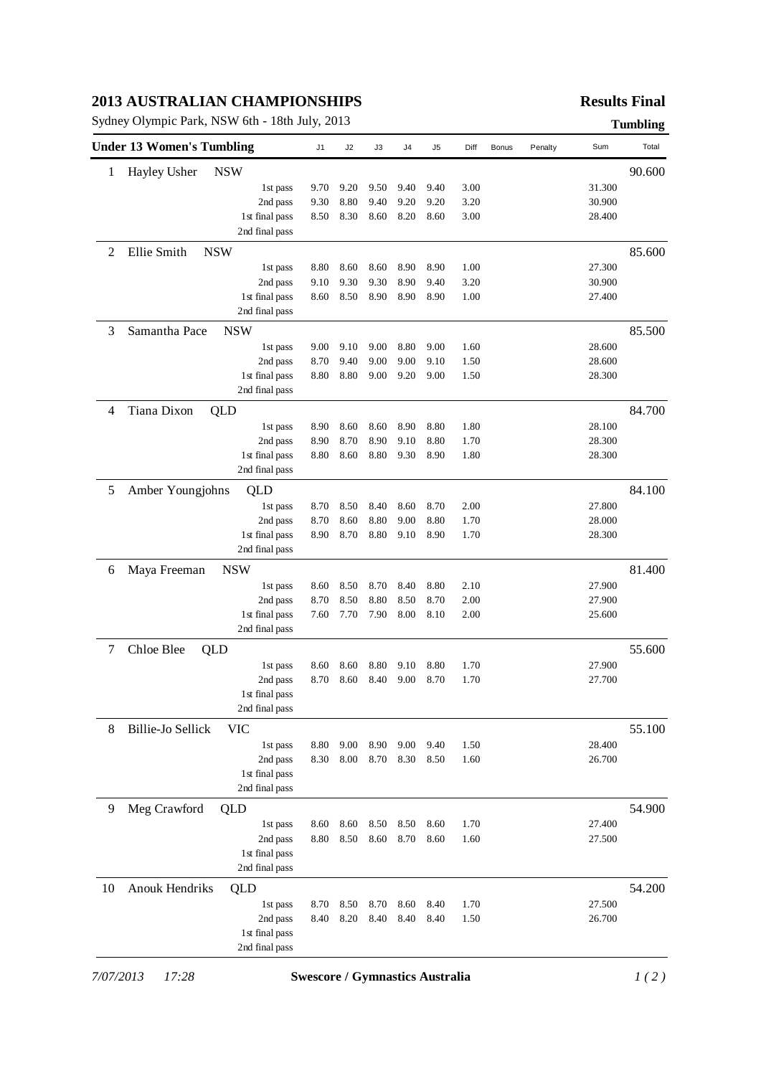### **2013 AUSTRALIAN CHAMPIONSHIPS**

Sydney Olympic Park, NSW 6th - 18th July, 2013 **Tumbling**

## **Results Final**

| 90.600<br>Hayley Usher<br><b>NSW</b><br>1<br>9.20<br>31.300<br>9.70<br>9.50<br>9.40<br>9.40<br>3.00<br>1st pass<br>9.30<br>8.80<br>9.40<br>9.20<br>9.20<br>3.20<br>30.900<br>2nd pass<br>8.60<br>8.20<br>1st final pass<br>8.50<br>8.30<br>8.60<br>3.00<br>28.400<br>2nd final pass<br>Ellie Smith<br>85.600<br>2<br><b>NSW</b><br>27.300<br>8.80<br>8.60<br>8.60<br>8.90<br>8.90<br>1.00<br>1st pass<br>9.30<br>8.90<br>2nd pass<br>9.10<br>9.30<br>9.40<br>3.20<br>30.900<br>8.50<br>8.90<br>8.90<br>8.90<br>27.400<br>1st final pass<br>8.60<br>1.00<br>2nd final pass<br>3<br>Samantha Pace<br>85.500<br><b>NSW</b><br>28.600<br>1st pass<br>9.00<br>9.10<br>9.00<br>8.80<br>9.00<br>1.60<br>8.70<br>9.40<br>9.00<br>9.00<br>1.50<br>28.600<br>2nd pass<br>9.10<br>1st final pass<br>8.80<br>8.80<br>9.00<br>9.20<br>9.00<br>1.50<br>28.300<br>2nd final pass<br>Tiana Dixon<br>84.700<br>4<br>QLD<br>8.90<br>8.60<br>8.60<br>8.90<br>8.80<br>1.80<br>28.100<br>1st pass<br>8.70<br>8.90<br>9.10<br>1.70<br>28.300<br>2nd pass<br>8.90<br>8.80<br>8.80<br>8.60<br>8.80<br>9.30<br>8.90<br>1.80<br>28.300<br>1st final pass<br>2nd final pass<br>5<br>Amber Youngjohns<br>QLD<br>27.800<br>8.70<br>8.50<br>8.40<br>8.60<br>8.70<br>2.00<br>1st pass<br>8.70<br>8.60<br>8.80<br>9.00<br>8.80<br>1.70<br>2nd pass<br>28.000<br>8.70<br>8.80<br>1st final pass<br>8.90<br>9.10<br>8.90<br>1.70<br>28.300<br>2nd final pass<br><b>NSW</b><br>6<br>Maya Freeman<br>27.900<br>8.60<br>8.50<br>8.70<br>8.40<br>8.80<br>2.10<br>1st pass<br>8.50<br>8.80<br>8.50<br>2.00<br>2nd pass<br>8.70<br>8.70<br>27.900<br>7.60<br>7.70<br>7.90<br>8.00<br>8.10<br>2.00<br>1st final pass<br>25.600<br>2nd final pass<br>$\tau$<br>Chloe Blee<br>55.600<br>QLD<br>8.60<br>8.60<br>8.80<br>9.10<br>8.80<br>1.70<br>27.900<br>1st pass<br>8.60<br>8.40<br>9.00<br>8.70<br>2nd pass<br>8.70<br>1.70<br>27.700<br>1st final pass<br>2nd final pass<br>8<br>55.100<br>Billie-Jo Sellick<br>VIC<br>8.80<br>9.00<br>8.90<br>9.00<br>1.50<br>28.400<br>1st pass<br>9.40<br>2nd pass<br>8.30<br>8.00<br>8.70<br>8.30<br>8.50<br>1.60<br>26.700<br>1st final pass<br>2nd final pass<br>Meg Crawford<br>54.900<br>9<br>QLD<br>8.60<br>8.50<br>27.400<br>1st pass<br>8.60<br>8.50<br>8.60<br>1.70<br>2nd pass<br>8.80<br>8.50<br>8.60<br>8.70<br>8.60<br>1.60<br>27.500<br>1st final pass<br>2nd final pass<br><b>Anouk Hendriks</b><br>54.200<br>10<br>QLD<br>1.70<br>27.500<br>1st pass<br>8.70<br>8.50<br>8.70<br>8.60<br>8.40<br>8.20<br>8.40<br>2nd pass<br>8.40<br>8.40<br>8.40<br>1.50<br>26.700<br>1st final pass<br>2nd final pass | <b>Under 13 Women's Tumbling</b> | J <sub>1</sub> | J2 | J3 | J4 | J <sub>5</sub> | Diff | <b>Bonus</b> | Penalty | Sum | Total  |
|-------------------------------------------------------------------------------------------------------------------------------------------------------------------------------------------------------------------------------------------------------------------------------------------------------------------------------------------------------------------------------------------------------------------------------------------------------------------------------------------------------------------------------------------------------------------------------------------------------------------------------------------------------------------------------------------------------------------------------------------------------------------------------------------------------------------------------------------------------------------------------------------------------------------------------------------------------------------------------------------------------------------------------------------------------------------------------------------------------------------------------------------------------------------------------------------------------------------------------------------------------------------------------------------------------------------------------------------------------------------------------------------------------------------------------------------------------------------------------------------------------------------------------------------------------------------------------------------------------------------------------------------------------------------------------------------------------------------------------------------------------------------------------------------------------------------------------------------------------------------------------------------------------------------------------------------------------------------------------------------------------------------------------------------------------------------------------------------------------------------------------------------------------------------------------------------------------------------------------------------------------------------------------------------------------------------------------------------------------------------------------------------------------------------------------------------------------------------------------------------------------------------------------------------------------------------------------------------------------------------|----------------------------------|----------------|----|----|----|----------------|------|--------------|---------|-----|--------|
|                                                                                                                                                                                                                                                                                                                                                                                                                                                                                                                                                                                                                                                                                                                                                                                                                                                                                                                                                                                                                                                                                                                                                                                                                                                                                                                                                                                                                                                                                                                                                                                                                                                                                                                                                                                                                                                                                                                                                                                                                                                                                                                                                                                                                                                                                                                                                                                                                                                                                                                                                                                                                   |                                  |                |    |    |    |                |      |              |         |     |        |
|                                                                                                                                                                                                                                                                                                                                                                                                                                                                                                                                                                                                                                                                                                                                                                                                                                                                                                                                                                                                                                                                                                                                                                                                                                                                                                                                                                                                                                                                                                                                                                                                                                                                                                                                                                                                                                                                                                                                                                                                                                                                                                                                                                                                                                                                                                                                                                                                                                                                                                                                                                                                                   |                                  |                |    |    |    |                |      |              |         |     |        |
|                                                                                                                                                                                                                                                                                                                                                                                                                                                                                                                                                                                                                                                                                                                                                                                                                                                                                                                                                                                                                                                                                                                                                                                                                                                                                                                                                                                                                                                                                                                                                                                                                                                                                                                                                                                                                                                                                                                                                                                                                                                                                                                                                                                                                                                                                                                                                                                                                                                                                                                                                                                                                   |                                  |                |    |    |    |                |      |              |         |     |        |
|                                                                                                                                                                                                                                                                                                                                                                                                                                                                                                                                                                                                                                                                                                                                                                                                                                                                                                                                                                                                                                                                                                                                                                                                                                                                                                                                                                                                                                                                                                                                                                                                                                                                                                                                                                                                                                                                                                                                                                                                                                                                                                                                                                                                                                                                                                                                                                                                                                                                                                                                                                                                                   |                                  |                |    |    |    |                |      |              |         |     |        |
|                                                                                                                                                                                                                                                                                                                                                                                                                                                                                                                                                                                                                                                                                                                                                                                                                                                                                                                                                                                                                                                                                                                                                                                                                                                                                                                                                                                                                                                                                                                                                                                                                                                                                                                                                                                                                                                                                                                                                                                                                                                                                                                                                                                                                                                                                                                                                                                                                                                                                                                                                                                                                   |                                  |                |    |    |    |                |      |              |         |     |        |
|                                                                                                                                                                                                                                                                                                                                                                                                                                                                                                                                                                                                                                                                                                                                                                                                                                                                                                                                                                                                                                                                                                                                                                                                                                                                                                                                                                                                                                                                                                                                                                                                                                                                                                                                                                                                                                                                                                                                                                                                                                                                                                                                                                                                                                                                                                                                                                                                                                                                                                                                                                                                                   |                                  |                |    |    |    |                |      |              |         |     |        |
|                                                                                                                                                                                                                                                                                                                                                                                                                                                                                                                                                                                                                                                                                                                                                                                                                                                                                                                                                                                                                                                                                                                                                                                                                                                                                                                                                                                                                                                                                                                                                                                                                                                                                                                                                                                                                                                                                                                                                                                                                                                                                                                                                                                                                                                                                                                                                                                                                                                                                                                                                                                                                   |                                  |                |    |    |    |                |      |              |         |     |        |
|                                                                                                                                                                                                                                                                                                                                                                                                                                                                                                                                                                                                                                                                                                                                                                                                                                                                                                                                                                                                                                                                                                                                                                                                                                                                                                                                                                                                                                                                                                                                                                                                                                                                                                                                                                                                                                                                                                                                                                                                                                                                                                                                                                                                                                                                                                                                                                                                                                                                                                                                                                                                                   |                                  |                |    |    |    |                |      |              |         |     |        |
|                                                                                                                                                                                                                                                                                                                                                                                                                                                                                                                                                                                                                                                                                                                                                                                                                                                                                                                                                                                                                                                                                                                                                                                                                                                                                                                                                                                                                                                                                                                                                                                                                                                                                                                                                                                                                                                                                                                                                                                                                                                                                                                                                                                                                                                                                                                                                                                                                                                                                                                                                                                                                   |                                  |                |    |    |    |                |      |              |         |     |        |
|                                                                                                                                                                                                                                                                                                                                                                                                                                                                                                                                                                                                                                                                                                                                                                                                                                                                                                                                                                                                                                                                                                                                                                                                                                                                                                                                                                                                                                                                                                                                                                                                                                                                                                                                                                                                                                                                                                                                                                                                                                                                                                                                                                                                                                                                                                                                                                                                                                                                                                                                                                                                                   |                                  |                |    |    |    |                |      |              |         |     |        |
|                                                                                                                                                                                                                                                                                                                                                                                                                                                                                                                                                                                                                                                                                                                                                                                                                                                                                                                                                                                                                                                                                                                                                                                                                                                                                                                                                                                                                                                                                                                                                                                                                                                                                                                                                                                                                                                                                                                                                                                                                                                                                                                                                                                                                                                                                                                                                                                                                                                                                                                                                                                                                   |                                  |                |    |    |    |                |      |              |         |     |        |
|                                                                                                                                                                                                                                                                                                                                                                                                                                                                                                                                                                                                                                                                                                                                                                                                                                                                                                                                                                                                                                                                                                                                                                                                                                                                                                                                                                                                                                                                                                                                                                                                                                                                                                                                                                                                                                                                                                                                                                                                                                                                                                                                                                                                                                                                                                                                                                                                                                                                                                                                                                                                                   |                                  |                |    |    |    |                |      |              |         |     |        |
|                                                                                                                                                                                                                                                                                                                                                                                                                                                                                                                                                                                                                                                                                                                                                                                                                                                                                                                                                                                                                                                                                                                                                                                                                                                                                                                                                                                                                                                                                                                                                                                                                                                                                                                                                                                                                                                                                                                                                                                                                                                                                                                                                                                                                                                                                                                                                                                                                                                                                                                                                                                                                   |                                  |                |    |    |    |                |      |              |         |     |        |
|                                                                                                                                                                                                                                                                                                                                                                                                                                                                                                                                                                                                                                                                                                                                                                                                                                                                                                                                                                                                                                                                                                                                                                                                                                                                                                                                                                                                                                                                                                                                                                                                                                                                                                                                                                                                                                                                                                                                                                                                                                                                                                                                                                                                                                                                                                                                                                                                                                                                                                                                                                                                                   |                                  |                |    |    |    |                |      |              |         |     |        |
|                                                                                                                                                                                                                                                                                                                                                                                                                                                                                                                                                                                                                                                                                                                                                                                                                                                                                                                                                                                                                                                                                                                                                                                                                                                                                                                                                                                                                                                                                                                                                                                                                                                                                                                                                                                                                                                                                                                                                                                                                                                                                                                                                                                                                                                                                                                                                                                                                                                                                                                                                                                                                   |                                  |                |    |    |    |                |      |              |         |     |        |
|                                                                                                                                                                                                                                                                                                                                                                                                                                                                                                                                                                                                                                                                                                                                                                                                                                                                                                                                                                                                                                                                                                                                                                                                                                                                                                                                                                                                                                                                                                                                                                                                                                                                                                                                                                                                                                                                                                                                                                                                                                                                                                                                                                                                                                                                                                                                                                                                                                                                                                                                                                                                                   |                                  |                |    |    |    |                |      |              |         |     |        |
|                                                                                                                                                                                                                                                                                                                                                                                                                                                                                                                                                                                                                                                                                                                                                                                                                                                                                                                                                                                                                                                                                                                                                                                                                                                                                                                                                                                                                                                                                                                                                                                                                                                                                                                                                                                                                                                                                                                                                                                                                                                                                                                                                                                                                                                                                                                                                                                                                                                                                                                                                                                                                   |                                  |                |    |    |    |                |      |              |         |     |        |
|                                                                                                                                                                                                                                                                                                                                                                                                                                                                                                                                                                                                                                                                                                                                                                                                                                                                                                                                                                                                                                                                                                                                                                                                                                                                                                                                                                                                                                                                                                                                                                                                                                                                                                                                                                                                                                                                                                                                                                                                                                                                                                                                                                                                                                                                                                                                                                                                                                                                                                                                                                                                                   |                                  |                |    |    |    |                |      |              |         |     |        |
|                                                                                                                                                                                                                                                                                                                                                                                                                                                                                                                                                                                                                                                                                                                                                                                                                                                                                                                                                                                                                                                                                                                                                                                                                                                                                                                                                                                                                                                                                                                                                                                                                                                                                                                                                                                                                                                                                                                                                                                                                                                                                                                                                                                                                                                                                                                                                                                                                                                                                                                                                                                                                   |                                  |                |    |    |    |                |      |              |         |     |        |
|                                                                                                                                                                                                                                                                                                                                                                                                                                                                                                                                                                                                                                                                                                                                                                                                                                                                                                                                                                                                                                                                                                                                                                                                                                                                                                                                                                                                                                                                                                                                                                                                                                                                                                                                                                                                                                                                                                                                                                                                                                                                                                                                                                                                                                                                                                                                                                                                                                                                                                                                                                                                                   |                                  |                |    |    |    |                |      |              |         |     |        |
|                                                                                                                                                                                                                                                                                                                                                                                                                                                                                                                                                                                                                                                                                                                                                                                                                                                                                                                                                                                                                                                                                                                                                                                                                                                                                                                                                                                                                                                                                                                                                                                                                                                                                                                                                                                                                                                                                                                                                                                                                                                                                                                                                                                                                                                                                                                                                                                                                                                                                                                                                                                                                   |                                  |                |    |    |    |                |      |              |         |     |        |
|                                                                                                                                                                                                                                                                                                                                                                                                                                                                                                                                                                                                                                                                                                                                                                                                                                                                                                                                                                                                                                                                                                                                                                                                                                                                                                                                                                                                                                                                                                                                                                                                                                                                                                                                                                                                                                                                                                                                                                                                                                                                                                                                                                                                                                                                                                                                                                                                                                                                                                                                                                                                                   |                                  |                |    |    |    |                |      |              |         |     | 84.100 |
|                                                                                                                                                                                                                                                                                                                                                                                                                                                                                                                                                                                                                                                                                                                                                                                                                                                                                                                                                                                                                                                                                                                                                                                                                                                                                                                                                                                                                                                                                                                                                                                                                                                                                                                                                                                                                                                                                                                                                                                                                                                                                                                                                                                                                                                                                                                                                                                                                                                                                                                                                                                                                   |                                  |                |    |    |    |                |      |              |         |     |        |
|                                                                                                                                                                                                                                                                                                                                                                                                                                                                                                                                                                                                                                                                                                                                                                                                                                                                                                                                                                                                                                                                                                                                                                                                                                                                                                                                                                                                                                                                                                                                                                                                                                                                                                                                                                                                                                                                                                                                                                                                                                                                                                                                                                                                                                                                                                                                                                                                                                                                                                                                                                                                                   |                                  |                |    |    |    |                |      |              |         |     |        |
|                                                                                                                                                                                                                                                                                                                                                                                                                                                                                                                                                                                                                                                                                                                                                                                                                                                                                                                                                                                                                                                                                                                                                                                                                                                                                                                                                                                                                                                                                                                                                                                                                                                                                                                                                                                                                                                                                                                                                                                                                                                                                                                                                                                                                                                                                                                                                                                                                                                                                                                                                                                                                   |                                  |                |    |    |    |                |      |              |         |     |        |
|                                                                                                                                                                                                                                                                                                                                                                                                                                                                                                                                                                                                                                                                                                                                                                                                                                                                                                                                                                                                                                                                                                                                                                                                                                                                                                                                                                                                                                                                                                                                                                                                                                                                                                                                                                                                                                                                                                                                                                                                                                                                                                                                                                                                                                                                                                                                                                                                                                                                                                                                                                                                                   |                                  |                |    |    |    |                |      |              |         |     |        |
|                                                                                                                                                                                                                                                                                                                                                                                                                                                                                                                                                                                                                                                                                                                                                                                                                                                                                                                                                                                                                                                                                                                                                                                                                                                                                                                                                                                                                                                                                                                                                                                                                                                                                                                                                                                                                                                                                                                                                                                                                                                                                                                                                                                                                                                                                                                                                                                                                                                                                                                                                                                                                   |                                  |                |    |    |    |                |      |              |         |     | 81.400 |
|                                                                                                                                                                                                                                                                                                                                                                                                                                                                                                                                                                                                                                                                                                                                                                                                                                                                                                                                                                                                                                                                                                                                                                                                                                                                                                                                                                                                                                                                                                                                                                                                                                                                                                                                                                                                                                                                                                                                                                                                                                                                                                                                                                                                                                                                                                                                                                                                                                                                                                                                                                                                                   |                                  |                |    |    |    |                |      |              |         |     |        |
|                                                                                                                                                                                                                                                                                                                                                                                                                                                                                                                                                                                                                                                                                                                                                                                                                                                                                                                                                                                                                                                                                                                                                                                                                                                                                                                                                                                                                                                                                                                                                                                                                                                                                                                                                                                                                                                                                                                                                                                                                                                                                                                                                                                                                                                                                                                                                                                                                                                                                                                                                                                                                   |                                  |                |    |    |    |                |      |              |         |     |        |
|                                                                                                                                                                                                                                                                                                                                                                                                                                                                                                                                                                                                                                                                                                                                                                                                                                                                                                                                                                                                                                                                                                                                                                                                                                                                                                                                                                                                                                                                                                                                                                                                                                                                                                                                                                                                                                                                                                                                                                                                                                                                                                                                                                                                                                                                                                                                                                                                                                                                                                                                                                                                                   |                                  |                |    |    |    |                |      |              |         |     |        |
|                                                                                                                                                                                                                                                                                                                                                                                                                                                                                                                                                                                                                                                                                                                                                                                                                                                                                                                                                                                                                                                                                                                                                                                                                                                                                                                                                                                                                                                                                                                                                                                                                                                                                                                                                                                                                                                                                                                                                                                                                                                                                                                                                                                                                                                                                                                                                                                                                                                                                                                                                                                                                   |                                  |                |    |    |    |                |      |              |         |     |        |
|                                                                                                                                                                                                                                                                                                                                                                                                                                                                                                                                                                                                                                                                                                                                                                                                                                                                                                                                                                                                                                                                                                                                                                                                                                                                                                                                                                                                                                                                                                                                                                                                                                                                                                                                                                                                                                                                                                                                                                                                                                                                                                                                                                                                                                                                                                                                                                                                                                                                                                                                                                                                                   |                                  |                |    |    |    |                |      |              |         |     |        |
|                                                                                                                                                                                                                                                                                                                                                                                                                                                                                                                                                                                                                                                                                                                                                                                                                                                                                                                                                                                                                                                                                                                                                                                                                                                                                                                                                                                                                                                                                                                                                                                                                                                                                                                                                                                                                                                                                                                                                                                                                                                                                                                                                                                                                                                                                                                                                                                                                                                                                                                                                                                                                   |                                  |                |    |    |    |                |      |              |         |     |        |
|                                                                                                                                                                                                                                                                                                                                                                                                                                                                                                                                                                                                                                                                                                                                                                                                                                                                                                                                                                                                                                                                                                                                                                                                                                                                                                                                                                                                                                                                                                                                                                                                                                                                                                                                                                                                                                                                                                                                                                                                                                                                                                                                                                                                                                                                                                                                                                                                                                                                                                                                                                                                                   |                                  |                |    |    |    |                |      |              |         |     |        |
|                                                                                                                                                                                                                                                                                                                                                                                                                                                                                                                                                                                                                                                                                                                                                                                                                                                                                                                                                                                                                                                                                                                                                                                                                                                                                                                                                                                                                                                                                                                                                                                                                                                                                                                                                                                                                                                                                                                                                                                                                                                                                                                                                                                                                                                                                                                                                                                                                                                                                                                                                                                                                   |                                  |                |    |    |    |                |      |              |         |     |        |
|                                                                                                                                                                                                                                                                                                                                                                                                                                                                                                                                                                                                                                                                                                                                                                                                                                                                                                                                                                                                                                                                                                                                                                                                                                                                                                                                                                                                                                                                                                                                                                                                                                                                                                                                                                                                                                                                                                                                                                                                                                                                                                                                                                                                                                                                                                                                                                                                                                                                                                                                                                                                                   |                                  |                |    |    |    |                |      |              |         |     |        |
|                                                                                                                                                                                                                                                                                                                                                                                                                                                                                                                                                                                                                                                                                                                                                                                                                                                                                                                                                                                                                                                                                                                                                                                                                                                                                                                                                                                                                                                                                                                                                                                                                                                                                                                                                                                                                                                                                                                                                                                                                                                                                                                                                                                                                                                                                                                                                                                                                                                                                                                                                                                                                   |                                  |                |    |    |    |                |      |              |         |     |        |
|                                                                                                                                                                                                                                                                                                                                                                                                                                                                                                                                                                                                                                                                                                                                                                                                                                                                                                                                                                                                                                                                                                                                                                                                                                                                                                                                                                                                                                                                                                                                                                                                                                                                                                                                                                                                                                                                                                                                                                                                                                                                                                                                                                                                                                                                                                                                                                                                                                                                                                                                                                                                                   |                                  |                |    |    |    |                |      |              |         |     |        |
|                                                                                                                                                                                                                                                                                                                                                                                                                                                                                                                                                                                                                                                                                                                                                                                                                                                                                                                                                                                                                                                                                                                                                                                                                                                                                                                                                                                                                                                                                                                                                                                                                                                                                                                                                                                                                                                                                                                                                                                                                                                                                                                                                                                                                                                                                                                                                                                                                                                                                                                                                                                                                   |                                  |                |    |    |    |                |      |              |         |     |        |
|                                                                                                                                                                                                                                                                                                                                                                                                                                                                                                                                                                                                                                                                                                                                                                                                                                                                                                                                                                                                                                                                                                                                                                                                                                                                                                                                                                                                                                                                                                                                                                                                                                                                                                                                                                                                                                                                                                                                                                                                                                                                                                                                                                                                                                                                                                                                                                                                                                                                                                                                                                                                                   |                                  |                |    |    |    |                |      |              |         |     |        |
|                                                                                                                                                                                                                                                                                                                                                                                                                                                                                                                                                                                                                                                                                                                                                                                                                                                                                                                                                                                                                                                                                                                                                                                                                                                                                                                                                                                                                                                                                                                                                                                                                                                                                                                                                                                                                                                                                                                                                                                                                                                                                                                                                                                                                                                                                                                                                                                                                                                                                                                                                                                                                   |                                  |                |    |    |    |                |      |              |         |     |        |
|                                                                                                                                                                                                                                                                                                                                                                                                                                                                                                                                                                                                                                                                                                                                                                                                                                                                                                                                                                                                                                                                                                                                                                                                                                                                                                                                                                                                                                                                                                                                                                                                                                                                                                                                                                                                                                                                                                                                                                                                                                                                                                                                                                                                                                                                                                                                                                                                                                                                                                                                                                                                                   |                                  |                |    |    |    |                |      |              |         |     |        |
|                                                                                                                                                                                                                                                                                                                                                                                                                                                                                                                                                                                                                                                                                                                                                                                                                                                                                                                                                                                                                                                                                                                                                                                                                                                                                                                                                                                                                                                                                                                                                                                                                                                                                                                                                                                                                                                                                                                                                                                                                                                                                                                                                                                                                                                                                                                                                                                                                                                                                                                                                                                                                   |                                  |                |    |    |    |                |      |              |         |     |        |
|                                                                                                                                                                                                                                                                                                                                                                                                                                                                                                                                                                                                                                                                                                                                                                                                                                                                                                                                                                                                                                                                                                                                                                                                                                                                                                                                                                                                                                                                                                                                                                                                                                                                                                                                                                                                                                                                                                                                                                                                                                                                                                                                                                                                                                                                                                                                                                                                                                                                                                                                                                                                                   |                                  |                |    |    |    |                |      |              |         |     |        |
|                                                                                                                                                                                                                                                                                                                                                                                                                                                                                                                                                                                                                                                                                                                                                                                                                                                                                                                                                                                                                                                                                                                                                                                                                                                                                                                                                                                                                                                                                                                                                                                                                                                                                                                                                                                                                                                                                                                                                                                                                                                                                                                                                                                                                                                                                                                                                                                                                                                                                                                                                                                                                   |                                  |                |    |    |    |                |      |              |         |     |        |
|                                                                                                                                                                                                                                                                                                                                                                                                                                                                                                                                                                                                                                                                                                                                                                                                                                                                                                                                                                                                                                                                                                                                                                                                                                                                                                                                                                                                                                                                                                                                                                                                                                                                                                                                                                                                                                                                                                                                                                                                                                                                                                                                                                                                                                                                                                                                                                                                                                                                                                                                                                                                                   |                                  |                |    |    |    |                |      |              |         |     |        |
|                                                                                                                                                                                                                                                                                                                                                                                                                                                                                                                                                                                                                                                                                                                                                                                                                                                                                                                                                                                                                                                                                                                                                                                                                                                                                                                                                                                                                                                                                                                                                                                                                                                                                                                                                                                                                                                                                                                                                                                                                                                                                                                                                                                                                                                                                                                                                                                                                                                                                                                                                                                                                   |                                  |                |    |    |    |                |      |              |         |     |        |
|                                                                                                                                                                                                                                                                                                                                                                                                                                                                                                                                                                                                                                                                                                                                                                                                                                                                                                                                                                                                                                                                                                                                                                                                                                                                                                                                                                                                                                                                                                                                                                                                                                                                                                                                                                                                                                                                                                                                                                                                                                                                                                                                                                                                                                                                                                                                                                                                                                                                                                                                                                                                                   |                                  |                |    |    |    |                |      |              |         |     |        |
|                                                                                                                                                                                                                                                                                                                                                                                                                                                                                                                                                                                                                                                                                                                                                                                                                                                                                                                                                                                                                                                                                                                                                                                                                                                                                                                                                                                                                                                                                                                                                                                                                                                                                                                                                                                                                                                                                                                                                                                                                                                                                                                                                                                                                                                                                                                                                                                                                                                                                                                                                                                                                   |                                  |                |    |    |    |                |      |              |         |     |        |
|                                                                                                                                                                                                                                                                                                                                                                                                                                                                                                                                                                                                                                                                                                                                                                                                                                                                                                                                                                                                                                                                                                                                                                                                                                                                                                                                                                                                                                                                                                                                                                                                                                                                                                                                                                                                                                                                                                                                                                                                                                                                                                                                                                                                                                                                                                                                                                                                                                                                                                                                                                                                                   |                                  |                |    |    |    |                |      |              |         |     |        |
|                                                                                                                                                                                                                                                                                                                                                                                                                                                                                                                                                                                                                                                                                                                                                                                                                                                                                                                                                                                                                                                                                                                                                                                                                                                                                                                                                                                                                                                                                                                                                                                                                                                                                                                                                                                                                                                                                                                                                                                                                                                                                                                                                                                                                                                                                                                                                                                                                                                                                                                                                                                                                   |                                  |                |    |    |    |                |      |              |         |     |        |